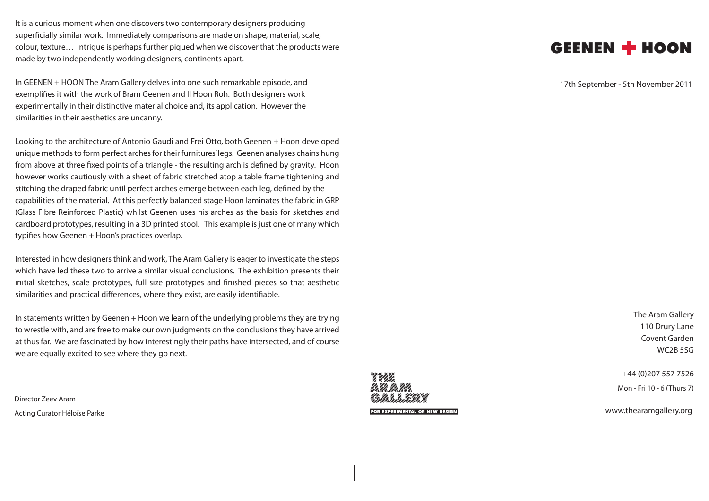It is a curious moment when one discovers two contemporary designers producing superficially similar work. Immediately comparisons are made on shape, material, scale, colour, texture… Intrigue is perhaps further piqued when we discover that the products were made by two independently working designers, continents apart.

In GEENEN + HOON The Aram Gallery delves into one such remarkable episode, and exemplifies it with the work of Bram Geenen and Il Hoon Roh. Both designers work experimentally in their distinctive material choice and, its application. However the similarities in their aesthetics are uncanny.

Looking to the architecture of Antonio Gaudi and Frei Otto, both Geenen + Hoon developed unique methods to form perfect arches for their furnitures' legs. Geenen analyses chains hung from above at three fixed points of a triangle - the resulting arch is defined by gravity. Hoon however works cautiously with a sheet of fabric stretched atop a table frame tightening and stitching the draped fabric until perfect arches emerge between each leg, defined by the capabilities of the material. At this perfectly balanced stage Hoon laminates the fabric in GRP (Glass Fibre Reinforced Plastic) whilst Geenen uses his arches as the basis for sketches and cardboard prototypes, resulting in a 3D printed stool. This example is just one of many which typifies how Geenen + Hoon's practices overlap.

Interested in how designers think and work, The Aram Gallery is eager to investigate the steps which have led these two to arrive a similar visual conclusions. The exhibition presents their initial sketches, scale prototypes, full size prototypes and finished pieces so that aesthetic similarities and practical differences, where they exist, are easily identifiable.

In statements written by Geenen + Hoon we learn of the underlying problems they are trying to wrestle with, and are free to make our own judgments on the conclusions they have arrived at thus far. We are fascinated by how interestingly their paths have intersected, and of course we are equally excited to see where they go next.

Director Zeev Aram Acting Curator Héloïse Parke



MMMM

GEENEN + HOON

17th September - 5th November 2011

The Aram Gallery 110 Drury Lane Covent Garden WC2B 5SG

+44 (0)207 557 7526 Mon - Fri 10 - 6 (Thurs 7)

www.thearamgallery.org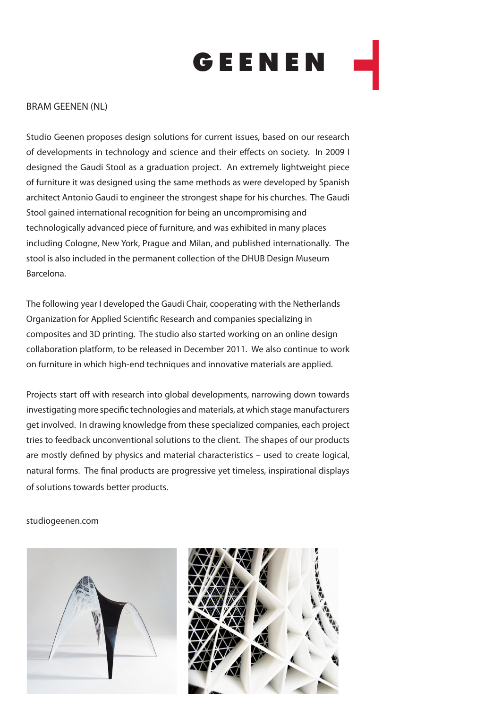

## BRAM GEENEN (NL)

Studio Geenen proposes design solutions for current issues, based on our research of developments in technology and science and their effects on society. In 2009 I designed the Gaudi Stool as a graduation project. An extremely lightweight piece of furniture it was designed using the same methods as were developed by Spanish architect Antonio Gaudi to engineer the strongest shape for his churches. The Gaudi Stool gained international recognition for being an uncompromising and technologically advanced piece of furniture, and was exhibited in many places including Cologne, New York, Prague and Milan, and published internationally. The stool is also included in the permanent collection of the DHUB Design Museum Barcelona.

The following year I developed the Gaudi Chair, cooperating with the Netherlands Organization for Applied Scientific Research and companies specializing in composites and 3D printing. The studio also started working on an online design collaboration platform, to be released in December 2011. We also continue to work on furniture in which high-end techniques and innovative materials are applied.

Projects start off with research into global developments, narrowing down towards investigating more specific technologies and materials, at which stage manufacturers get involved. In drawing knowledge from these specialized companies, each project tries to feedback unconventional solutions to the client. The shapes of our products are mostly defined by physics and material characteristics – used to create logical, natural forms. The final products are progressive yet timeless, inspirational displays of solutions towards better products.

studiogeenen.com